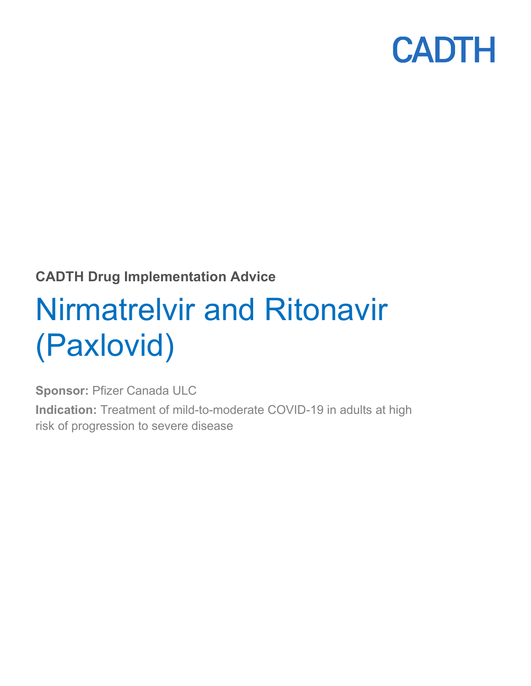

### **CADTH Drug Implementation Advice**

# Nirmatrelvir and Ritonavir (Paxlovid)

**Sponsor:** Pfizer Canada ULC

**Indication:** Treatment of mild-to-moderate COVID-19 in adults at high risk of progression to severe disease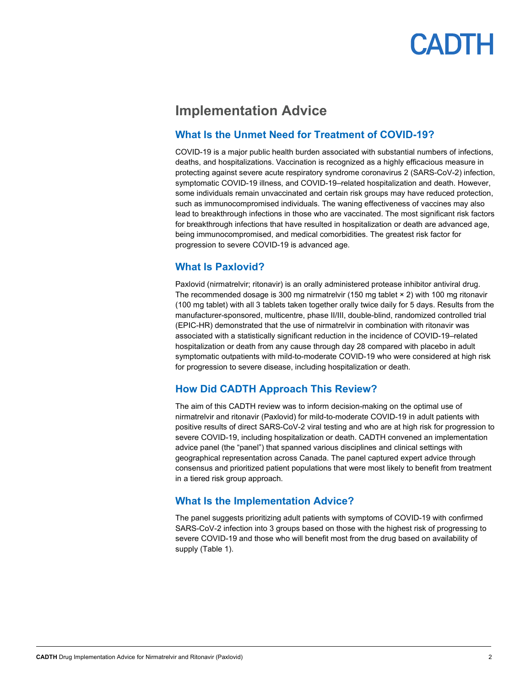### **Implementation Advice**

#### **What Is the Unmet Need for Treatment of COVID-19?**

COVID-19 is a major public health burden associated with substantial numbers of infections, deaths, and hospitalizations. Vaccination is recognized as a highly efficacious measure in protecting against severe acute respiratory syndrome coronavirus 2 (SARS-CoV-2) infection, symptomatic COVID-19 illness, and COVID-19–related hospitalization and death. However, some individuals remain unvaccinated and certain risk groups may have reduced protection, such as immunocompromised individuals. The waning effectiveness of vaccines may also lead to breakthrough infections in those who are vaccinated. The most significant risk factors for breakthrough infections that have resulted in hospitalization or death are advanced age, being immunocompromised, and medical comorbidities. The greatest risk factor for progression to severe COVID-19 is advanced age.

#### **What Is Paxlovid?**

Paxlovid (nirmatrelvir; ritonavir) is an orally administered protease inhibitor antiviral drug. The recommended dosage is 300 mg nirmatrelvir (150 mg tablet × 2) with 100 mg ritonavir (100 mg tablet) with all 3 tablets taken together orally twice daily for 5 days. Results from the manufacturer-sponsored, multicentre, phase II/III, double-blind, randomized controlled trial (EPIC-HR) demonstrated that the use of nirmatrelvir in combination with ritonavir was associated with a statistically significant reduction in the incidence of COVID-19–related hospitalization or death from any cause through day 28 compared with placebo in adult symptomatic outpatients with mild-to-moderate COVID-19 who were considered at high risk for progression to severe disease, including hospitalization or death.

#### **How Did CADTH Approach This Review?**

The aim of this CADTH review was to inform decision-making on the optimal use of nirmatrelvir and ritonavir (Paxlovid) for mild-to-moderate COVID-19 in adult patients with positive results of direct SARS-CoV-2 viral testing and who are at high risk for progression to severe COVID-19, including hospitalization or death. CADTH convened an implementation advice panel (the "panel") that spanned various disciplines and clinical settings with geographical representation across Canada. The panel captured expert advice through consensus and prioritized patient populations that were most likely to benefit from treatment in a tiered risk group approach.

#### **What Is the Implementation Advice?**

The panel suggests prioritizing adult patients with symptoms of COVID-19 with confirmed SARS-CoV-2 infection into 3 groups based on those with the highest risk of progressing to severe COVID-19 and those who will benefit most from the drug based on availability of supply [\(Table 1\)](#page-2-0).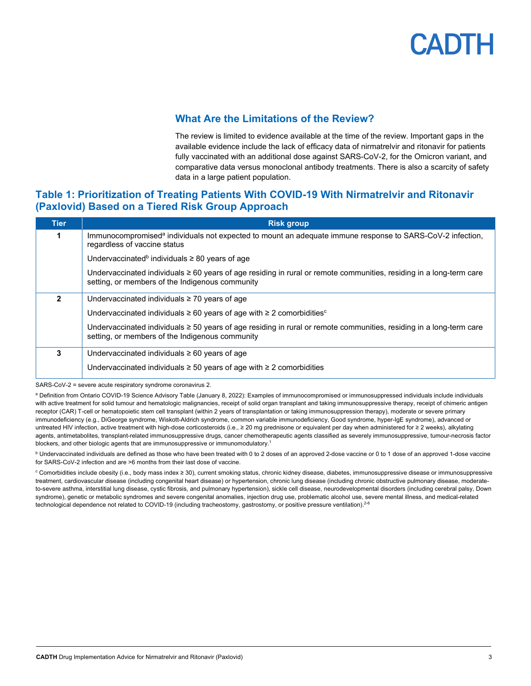

#### **What Are the Limitations of the Review?**

The review is limited to evidence available at the time of the review. Important gaps in the available evidence include the lack of efficacy data of nirmatrelvir and ritonavir for patients fully vaccinated with an additional dose against SARS-CoV-2, for the Omicron variant, and comparative data versus monoclonal antibody treatments. There is also a scarcity of safety data in a large patient population.

#### <span id="page-2-0"></span>**Table 1: Prioritization of Treating Patients With COVID-19 With Nirmatrelvir and Ritonavir (Paxlovid) Based on a Tiered Risk Group Approach**

| <b>Tier</b> | <b>Risk group</b>                                                                                                                                                      |
|-------------|------------------------------------------------------------------------------------------------------------------------------------------------------------------------|
|             | Immunocompromised <sup>a</sup> individuals not expected to mount an adequate immune response to SARS-CoV-2 infection,<br>regardless of vaccine status                  |
|             | Undervaccinated <sup>b</sup> individuals $\geq$ 80 years of age                                                                                                        |
|             | Undervaccinated individuals ≥ 60 years of age residing in rural or remote communities, residing in a long-term care<br>setting, or members of the Indigenous community |
| 2           | Undervaccinated individuals $\geq$ 70 years of age                                                                                                                     |
|             | Undervaccinated individuals $\geq 60$ years of age with $\geq 2$ comorbidities <sup>c</sup>                                                                            |
|             | Undervaccinated individuals ≥ 50 years of age residing in rural or remote communities, residing in a long-term care<br>setting, or members of the Indigenous community |
| 3           | Undervaccinated individuals $\geq 60$ years of age                                                                                                                     |
|             | Undervaccinated individuals $\geq$ 50 years of age with $\geq$ 2 comorbidities                                                                                         |

SARS-CoV-2 = severe acute respiratory syndrome coronavirus 2.

a Definition from Ontario COVID-19 Science Advisory Table (January 8, 2022): Examples of immunocompromised or immunosuppressed individuals include individuals with active treatment for solid tumour and hematologic malignancies, receipt of solid organ transplant and taking immunosuppressive therapy, receipt of chimeric antigen receptor (CAR) T-cell or hematopoietic stem cell transplant (within 2 years of transplantation or taking immunosuppression therapy), moderate or severe primary immunodeficiency (e.g., DiGeorge syndrome, Wiskott-Aldrich syndrome, common variable immunodeficiency, Good syndrome, hyper-IgE syndrome), advanced or untreated HIV infection, active treatment with high-dose corticosteroids (i.e., ≥ 20 mg prednisone or equivalent per day when administered for ≥ 2 weeks), alkylating agents, antimetabolites, transplant-related immunosuppressive drugs, cancer chemotherapeutic agents classified as severely immunosuppressive, tumour-necrosis factor blockers, and other biologic agents that are immunosuppressive or immunomodulatory.1

**b** Undervaccinated individuals are defined as those who have been treated with 0 to 2 doses of an approved 2-dose vaccine or 0 to 1 dose of an approved 1-dose vaccine for SARS-CoV-2 infection and are >6 months from their last dose of vaccine.

<sup>c</sup> Comorbidities include obesity (i.e., body mass index ≥ 30), current smoking status, chronic kidney disease, diabetes, immunosuppressive disease or immunosuppressive treatment, cardiovascular disease (including congenital heart disease) or hypertension, chronic lung disease (including chronic obstructive pulmonary disease, moderateto-severe asthma, interstitial lung disease, cystic fibrosis, and pulmonary hypertension), sickle cell disease, neurodevelopmental disorders (including cerebral palsy, Down syndrome), genetic or metabolic syndromes and severe congenital anomalies, injection drug use, problematic alcohol use, severe mental illness, and medical-related technological dependence not related to COVID-19 (including tracheostomy, gastrostomy, or positive pressure ventilation).<sup>2-6</sup>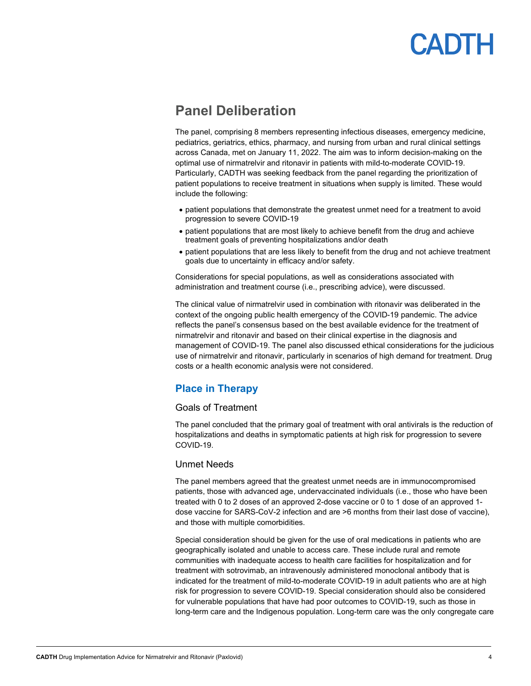### **Panel Deliberation**

The panel, comprising 8 members representing infectious diseases, emergency medicine, pediatrics, geriatrics, ethics, pharmacy, and nursing from urban and rural clinical settings across Canada, met on January 11, 2022. The aim was to inform decision-making on the optimal use of nirmatrelvir and ritonavir in patients with mild-to-moderate COVID-19. Particularly, CADTH was seeking feedback from the panel regarding the prioritization of patient populations to receive treatment in situations when supply is limited. These would include the following:

- patient populations that demonstrate the greatest unmet need for a treatment to avoid progression to severe COVID-19
- patient populations that are most likely to achieve benefit from the drug and achieve treatment goals of preventing hospitalizations and/or death
- patient populations that are less likely to benefit from the drug and not achieve treatment goals due to uncertainty in efficacy and/or safety.

Considerations for special populations, as well as considerations associated with administration and treatment course (i.e., prescribing advice), were discussed.

The clinical value of nirmatrelvir used in combination with ritonavir was deliberated in the context of the ongoing public health emergency of the COVID-19 pandemic. The advice reflects the panel's consensus based on the best available evidence for the treatment of nirmatrelvir and ritonavir and based on their clinical expertise in the diagnosis and management of COVID-19. The panel also discussed ethical considerations for the judicious use of nirmatrelvir and ritonavir, particularly in scenarios of high demand for treatment. Drug costs or a health economic analysis were not considered.

### **Place in Therapy**

#### Goals of Treatment

The panel concluded that the primary goal of treatment with oral antivirals is the reduction of hospitalizations and deaths in symptomatic patients at high risk for progression to severe COVID-19.

#### Unmet Needs

The panel members agreed that the greatest unmet needs are in immunocompromised patients, those with advanced age, undervaccinated individuals (i.e., those who have been treated with 0 to 2 doses of an approved 2-dose vaccine or 0 to 1 dose of an approved 1 dose vaccine for SARS-CoV-2 infection and are >6 months from their last dose of vaccine), and those with multiple comorbidities.

Special consideration should be given for the use of oral medications in patients who are geographically isolated and unable to access care. These include rural and remote communities with inadequate access to health care facilities for hospitalization and for treatment with sotrovimab, an intravenously administered monoclonal antibody that is indicated for the treatment of mild-to-moderate COVID-19 in adult patients who are at high risk for progression to severe COVID-19. Special consideration should also be considered for vulnerable populations that have had poor outcomes to COVID-19, such as those in long-term care and the Indigenous population. Long-term care was the only congregate care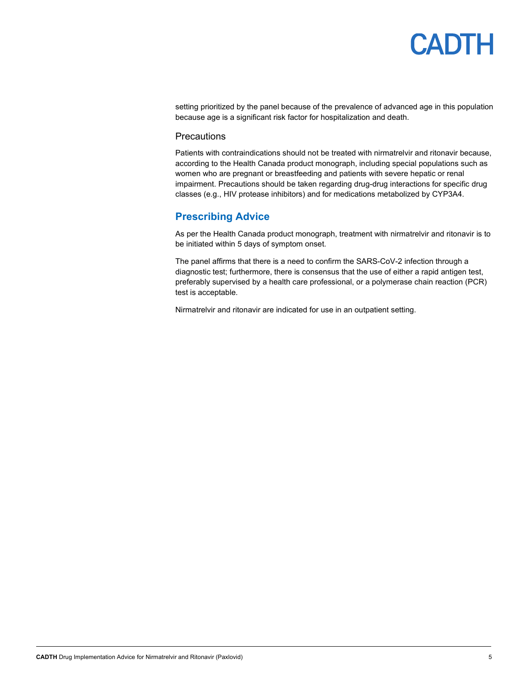setting prioritized by the panel because of the prevalence of advanced age in this population because age is a significant risk factor for hospitalization and death.

#### **Precautions**

Patients with contraindications should not be treated with nirmatrelvir and ritonavir because, according to the Health Canada product monograph, including special populations such as women who are pregnant or breastfeeding and patients with severe hepatic or renal impairment. Precautions should be taken regarding drug-drug interactions for specific drug classes (e.g., HIV protease inhibitors) and for medications metabolized by CYP3A4.

#### **Prescribing Advice**

As per the Health Canada product monograph, treatment with nirmatrelvir and ritonavir is to be initiated within 5 days of symptom onset.

The panel affirms that there is a need to confirm the SARS-CoV-2 infection through a diagnostic test; furthermore, there is consensus that the use of either a rapid antigen test, preferably supervised by a health care professional, or a polymerase chain reaction (PCR) test is acceptable.

Nirmatrelvir and ritonavir are indicated for use in an outpatient setting.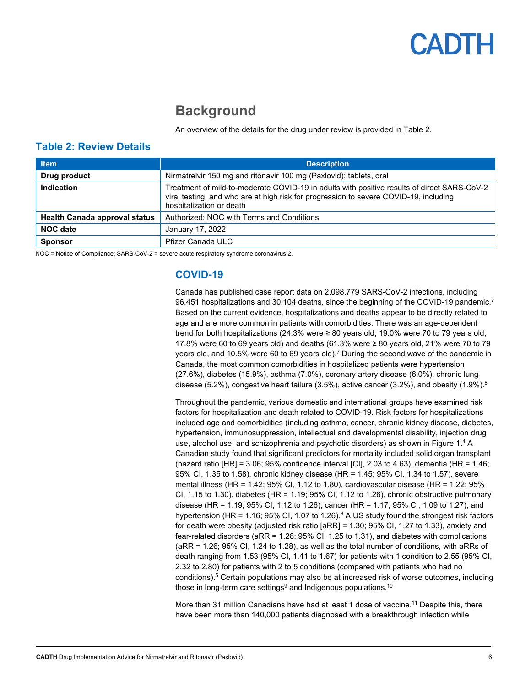### **Background**

An overview of the details for the drug under review is provided in [Table 2.](#page-5-0)

#### <span id="page-5-0"></span>**Table 2: Review Details**

| <b>Item</b>                          | <b>Description</b>                                                                                                                                                                                               |  |
|--------------------------------------|------------------------------------------------------------------------------------------------------------------------------------------------------------------------------------------------------------------|--|
| Drug product                         | Nirmatrelvir 150 mg and ritonavir 100 mg (Paxlovid); tablets, oral                                                                                                                                               |  |
| Indication                           | Treatment of mild-to-moderate COVID-19 in adults with positive results of direct SARS-CoV-2<br>viral testing, and who are at high risk for progression to severe COVID-19, including<br>hospitalization or death |  |
| <b>Health Canada approval status</b> | Authorized: NOC with Terms and Conditions                                                                                                                                                                        |  |
| <b>NOC date</b>                      | January 17, 2022                                                                                                                                                                                                 |  |
| <b>Sponsor</b>                       | Pfizer Canada ULC                                                                                                                                                                                                |  |

NOC = Notice of Compliance; SARS-CoV-2 = severe acute respiratory syndrome coronavirus 2.

#### **COVID-19**

Canada has published case report data on 2,098,779 SARS-CoV-2 infections, including 96,451 hospitalizations and 30,104 deaths, since the beginning of the COVID-19 pandemic.7 Based on the current evidence, hospitalizations and deaths appear to be directly related to age and are more common in patients with comorbidities. There was an age-dependent trend for both hospitalizations (24.3% were  $\geq$  80 years old, 19.0% were 70 to 79 years old, 17.8% were 60 to 69 years old) and deaths (61.3% were ≥ 80 years old, 21% were 70 to 79 years old, and 10.5% were 60 to 69 years old).7 During the second wave of the pandemic in Canada, the most common comorbidities in hospitalized patients were hypertension (27.6%), diabetes (15.9%), asthma (7.0%), coronary artery disease (6.0%), chronic lung disease (5.2%), congestive heart failure (3.5%), active cancer (3.2%), and obesity (1.9%).<sup>8</sup>

Throughout the pandemic, various domestic and international groups have examined risk factors for hospitalization and death related to COVID-19. Risk factors for hospitalizations included age and comorbidities (including asthma, cancer, chronic kidney disease, diabetes, hypertension, immunosuppression, intellectual and developmental disability, injection drug use, alcohol use, and schizophrenia and psychotic disorders) as shown in [Figure 1.](#page-6-0) <sup>4</sup> A Canadian study found that significant predictors for mortality included solid organ transplant (hazard ratio  $[HR] = 3.06$ ; 95% confidence interval  $[CI]$ , 2.03 to 4.63), dementia (HR = 1.46; 95% CI, 1.35 to 1.58), chronic kidney disease (HR = 1.45; 95% CI, 1.34 to 1.57), severe mental illness (HR =  $1.42$ ; 95% CI,  $1.12$  to  $1.80$ ), cardiovascular disease (HR =  $1.22$ ; 95% CI, 1.15 to 1.30), diabetes (HR = 1.19; 95% CI, 1.12 to 1.26), chronic obstructive pulmonary disease (HR = 1.19; 95% CI, 1.12 to 1.26), cancer (HR = 1.17; 95% CI, 1.09 to 1.27), and hypertension (HR = 1.16; 95% CI, 1.07 to 1.26).<sup>6</sup> A US study found the strongest risk factors for death were obesity (adjusted risk ratio [aRR] = 1.30; 95% CI, 1.27 to 1.33), anxiety and fear-related disorders (aRR = 1.28; 95% CI, 1.25 to 1.31), and diabetes with complications (aRR = 1.26; 95% CI, 1.24 to 1.28), as well as the total number of conditions, with aRRs of death ranging from 1.53 (95% CI, 1.41 to 1.67) for patients with 1 condition to 2.55 (95% CI, 2.32 to 2.80) for patients with 2 to 5 conditions (compared with patients who had no conditions).5 Certain populations may also be at increased risk of worse outcomes, including those in long-term care settings<sup>9</sup> and Indigenous populations.<sup>10</sup>

More than 31 million Canadians have had at least 1 dose of vaccine.11 Despite this, there have been more than 140,000 patients diagnosed with a breakthrough infection while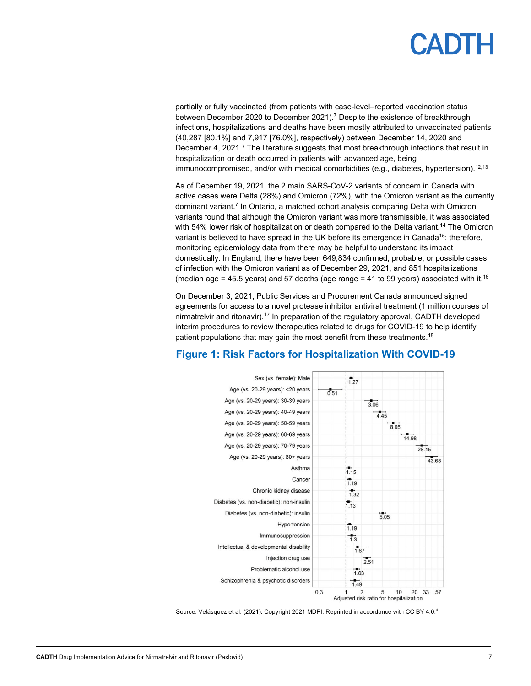# **PADTH**

partially or fully vaccinated (from patients with case-level–reported vaccination status between December 2020 to December 2021).<sup>7</sup> Despite the existence of breakthrough infections, hospitalizations and deaths have been mostly attributed to unvaccinated patients (40,287 [80.1%] and 7,917 [76.0%], respectively) between December 14, 2020 and December 4, 2021.<sup>7</sup> The literature suggests that most breakthrough infections that result in hospitalization or death occurred in patients with advanced age, being immunocompromised, and/or with medical comorbidities (e.g., diabetes, hypertension).<sup>12,13</sup>

As of December 19, 2021, the 2 main SARS-CoV-2 variants of concern in Canada with active cases were Delta (28%) and Omicron (72%), with the Omicron variant as the currently dominant variant.7 In Ontario, a matched cohort analysis comparing Delta with Omicron variants found that although the Omicron variant was more transmissible, it was associated with 54% lower risk of hospitalization or death compared to the Delta variant.<sup>14</sup> The Omicron variant is believed to have spread in the UK before its emergence in Canada<sup>15</sup>; therefore, monitoring epidemiology data from there may be helpful to understand its impact domestically. In England, there have been 649,834 confirmed, probable, or possible cases of infection with the Omicron variant as of December 29, 2021, and 851 hospitalizations (median age = 45.5 years) and 57 deaths (age range = 41 to 99 years) associated with it.<sup>16</sup>

On December 3, 2021, Public Services and Procurement Canad[a announced](https://www.canada.ca/en/public-services-procurement/news/2021/12/government-of-canada-signs-agreements-for-covid-19-oral-antiviral-treatments.html) signed agreements for access to a novel protease inhibitor antiviral treatment (1 million courses of nirmatrelvir and ritonavir).17 In preparation of the regulatory approval, CADTH developed interim procedures to review therapeutics related to drugs for COVID-19 to help identify patient populations that may gain the most benefit from these treatments.<sup>18</sup>



### <span id="page-6-0"></span>**Figure 1: Risk Factors for Hospitalization With COVID-19**

Source: Velásquez et al. (2021). Copyright 2021 MDPI. Reprinted in accordance with CC BY 4.0.4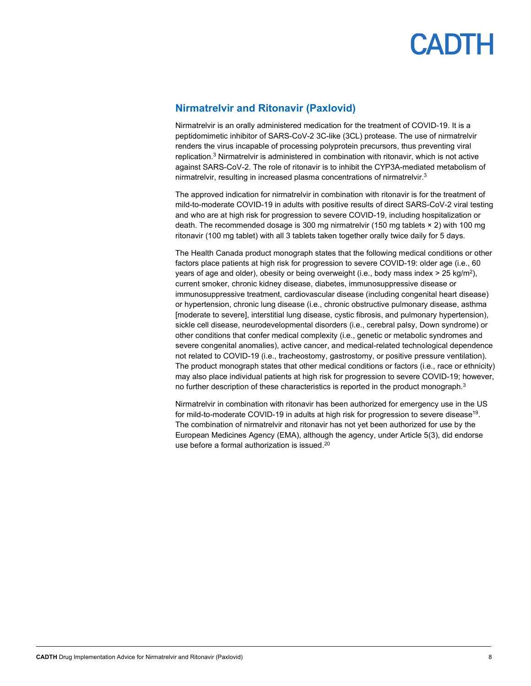

#### **Nirmatrelvir and Ritonavir (Paxlovid)**

Nirmatrelvir is an orally administered medication for the treatment of COVID-19. It is a peptidomimetic inhibitor of SARS-CoV-2 3C-like (3CL) protease. The use of nirmatrelvir renders the virus incapable of processing polyprotein precursors, thus preventing viral replication. <sup>3</sup> Nirmatrelvir is administered in combination with ritonavir, which is not active against SARS-CoV-2. The role of ritonavir is to inhibit the CYP3A-mediated metabolism of nirmatrelvir, resulting in increased plasma concentrations of nirmatrelvir. 3

The approved indication for nirmatrelvir in combination with ritonavir is for the treatment of mild-to-moderate COVID-19 in adults with positive results of direct SARS-CoV-2 viral testing and who are at high risk for progression to severe COVID-19, including hospitalization or death. The recommended dosage is 300 mg nirmatrelvir (150 mg tablets × 2) with 100 mg ritonavir (100 mg tablet) with all 3 tablets taken together orally twice daily for 5 days.

The Health Canada product monograph states that the following medical conditions or other factors place patients at high risk for progression to severe COVID-19: older age (i.e., 60 years of age and older), obesity or being overweight (i.e., body mass index  $>$  25 kg/m<sup>2</sup>), current smoker, chronic kidney disease, diabetes, immunosuppressive disease or immunosuppressive treatment, cardiovascular disease (including congenital heart disease) or hypertension, chronic lung disease (i.e., chronic obstructive pulmonary disease, asthma [moderate to severe], interstitial lung disease, cystic fibrosis, and pulmonary hypertension), sickle cell disease, neurodevelopmental disorders (i.e., cerebral palsy, Down syndrome) or other conditions that confer medical complexity (i.e., genetic or metabolic syndromes and severe congenital anomalies), active cancer, and medical-related technological dependence not related to COVID-19 (i.e., tracheostomy, gastrostomy, or positive pressure ventilation). The product monograph states that other medical conditions or factors (i.e., race or ethnicity) may also place individual patients at high risk for progression to severe COVID-19; however, no further description of these characteristics is reported in the product monograph.<sup>3</sup>

Nirmatrelvir in combination with ritonavir has been authorized for emergency use in the US for mild-to-moderate COVID-19 in adults at high risk for progression to severe disease<sup>19</sup>. The combination of nirmatrelvir and ritonavir has not yet been authorized for use by the European Medicines Agency (EMA), although the agency, under Article 5(3), did endorse use before a formal authorization is issued. 20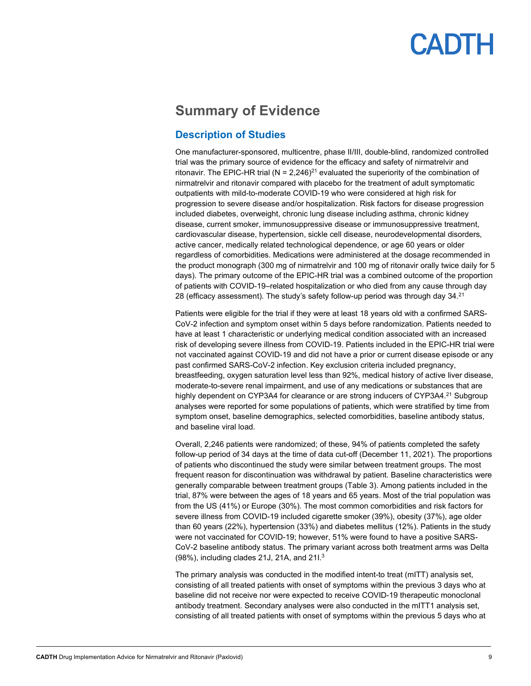### **Summary of Evidence**

### **Description of Studies**

One manufacturer-sponsored, multicentre, phase II/III, double-blind, randomized controlled trial was the primary source of evidence for the efficacy and safety of nirmatrelvir and ritonavir. The EPIC-HR trial (N = 2,246)<sup>21</sup> evaluated the superiority of the combination of nirmatrelvir and ritonavir compared with placebo for the treatment of adult symptomatic outpatients with mild-to-moderate COVID-19 who were considered at high risk for progression to severe disease and/or hospitalization. Risk factors for disease progression included diabetes, overweight, chronic lung disease including asthma, chronic kidney disease, current smoker, immunosuppressive disease or immunosuppressive treatment, cardiovascular disease, hypertension, sickle cell disease, neurodevelopmental disorders, active cancer, medically related technological dependence, or age 60 years or older regardless of comorbidities. Medications were administered at the dosage recommended in the product monograph (300 mg of nirmatrelvir and 100 mg of ritonavir orally twice daily for 5 days). The primary outcome of the EPIC-HR trial was a combined outcome of the proportion of patients with COVID-19–related hospitalization or who died from any cause through day 28 (efficacy assessment). The study's safety follow-up period was through day 34.21

Patients were eligible for the trial if they were at least 18 years old with a confirmed SARS-CoV-2 infection and symptom onset within 5 days before randomization. Patients needed to have at least 1 characteristic or underlying medical condition associated with an increased risk of developing severe illness from COVID-19. Patients included in the EPIC-HR trial were not vaccinated against COVID-19 and did not have a prior or current disease episode or any past confirmed SARS-CoV-2 infection. Key exclusion criteria included pregnancy, breastfeeding, oxygen saturation level less than 92%, medical history of active liver disease, moderate-to-severe renal impairment, and use of any medications or substances that are highly dependent on CYP3A4 for clearance or are strong inducers of CYP3A4.<sup>21</sup> Subgroup analyses were reported for some populations of patients, which were stratified by time from symptom onset, baseline demographics, selected comorbidities, baseline antibody status, and baseline viral load.

Overall, 2,246 patients were randomized; of these, 94% of patients completed the safety follow-up period of 34 days at the time of data cut-off (December 11, 2021). The proportions of patients who discontinued the study were similar between treatment groups. The most frequent reason for discontinuation was withdrawal by patient. Baseline characteristics were generally comparable between treatment groups [\(Table 3\)](#page-9-0). Among patients included in the trial, 87% were between the ages of 18 years and 65 years. Most of the trial population was from the US (41%) or Europe (30%). The most common comorbidities and risk factors for severe illness from COVID-19 included cigarette smoker (39%), obesity (37%), age older than 60 years (22%), hypertension (33%) and diabetes mellitus (12%). Patients in the study were not vaccinated for COVID-19; however, 51% were found to have a positive SARS-CoV-2 baseline antibody status. The primary variant across both treatment arms was Delta (98%), including clades 21J, 21A, and 21I.3

The primary analysis was conducted in the modified intent-to treat (mITT) analysis set, consisting of all treated patients with onset of symptoms within the previous 3 days who at baseline did not receive nor were expected to receive COVID-19 therapeutic monoclonal antibody treatment. Secondary analyses were also conducted in the mITT1 analysis set, consisting of all treated patients with onset of symptoms within the previous 5 days who at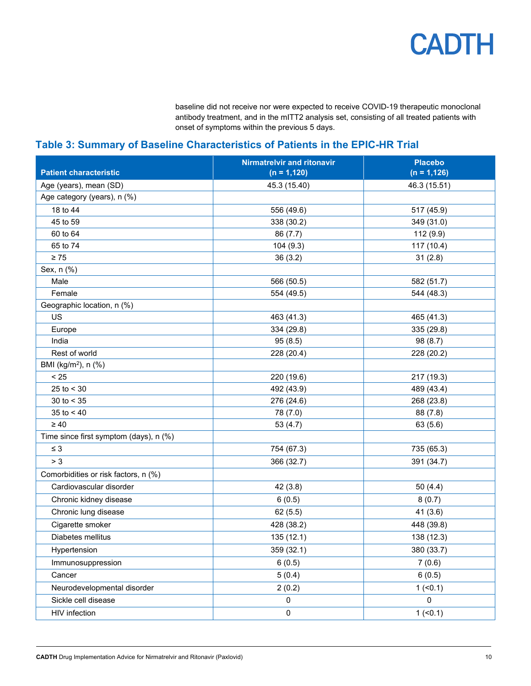baseline did not receive nor were expected to receive COVID-19 therapeutic monoclonal antibody treatment, and in the mITT2 analysis set, consisting of all treated patients with onset of symptoms within the previous 5 days.

### <span id="page-9-0"></span>**Table 3: Summary of Baseline Characteristics of Patients in the EPIC-HR Trial**

|                                        | <b>Nirmatrelvir and ritonavir</b> | <b>Placebo</b> |
|----------------------------------------|-----------------------------------|----------------|
| <b>Patient characteristic</b>          | $(n = 1, 120)$                    | $(n = 1, 126)$ |
| Age (years), mean (SD)                 | 45.3 (15.40)                      | 46.3 (15.51)   |
| Age category (years), n (%)            |                                   |                |
| 18 to 44                               | 556 (49.6)                        | 517 (45.9)     |
| 45 to 59                               | 338 (30.2)                        | 349 (31.0)     |
| 60 to 64                               | 86 (7.7)                          | 112 (9.9)      |
| 65 to 74                               | 104 (9.3)                         | 117 (10.4)     |
| $\geq 75$                              | 36(3.2)                           | 31(2.8)        |
| Sex, n (%)                             |                                   |                |
| Male                                   | 566 (50.5)                        | 582 (51.7)     |
| Female                                 | 554 (49.5)                        | 544 (48.3)     |
| Geographic location, n (%)             |                                   |                |
| US                                     | 463 (41.3)                        | 465 (41.3)     |
| Europe                                 | 334 (29.8)                        | 335 (29.8)     |
| India                                  | 95(8.5)                           | 98 (8.7)       |
| Rest of world                          | 228 (20.4)                        | 228 (20.2)     |
| BMI (kg/m <sup>2</sup> ), n (%)        |                                   |                |
| < 25                                   | 220 (19.6)                        | 217 (19.3)     |
| 25 to $<$ 30                           | 492 (43.9)                        | 489 (43.4)     |
| 30 to $< 35$                           | 276 (24.6)                        | 268 (23.8)     |
| 35 to $< 40$                           | 78 (7.0)                          | 88 (7.8)       |
| $\geq 40$                              | 53 (4.7)                          | 63 (5.6)       |
| Time since first symptom (days), n (%) |                                   |                |
| $\leq 3$                               | 754 (67.3)                        | 735 (65.3)     |
| > 3                                    | 366 (32.7)                        | 391 (34.7)     |
| Comorbidities or risk factors, n (%)   |                                   |                |
| Cardiovascular disorder                | 42 (3.8)                          | 50 $(4.4)$     |
| Chronic kidney disease                 | 6(0.5)                            | 8(0.7)         |
| Chronic lung disease                   | 62(5.5)                           | 41(3.6)        |
| Cigarette smoker                       | 428 (38.2)                        | 448 (39.8)     |
| Diabetes mellitus                      | 135 (12.1)                        | 138 (12.3)     |
| Hypertension                           | 359 (32.1)                        | 380 (33.7)     |
| Immunosuppression                      | 6(0.5)                            | 7(0.6)         |
| Cancer                                 | 5(0.4)                            | 6(0.5)         |
| Neurodevelopmental disorder            | 2(0.2)                            | $1$ (<0.1)     |
| Sickle cell disease                    | $\pmb{0}$                         | $\mathbf 0$    |
| HIV infection                          | 0                                 | $1$ (<0.1)     |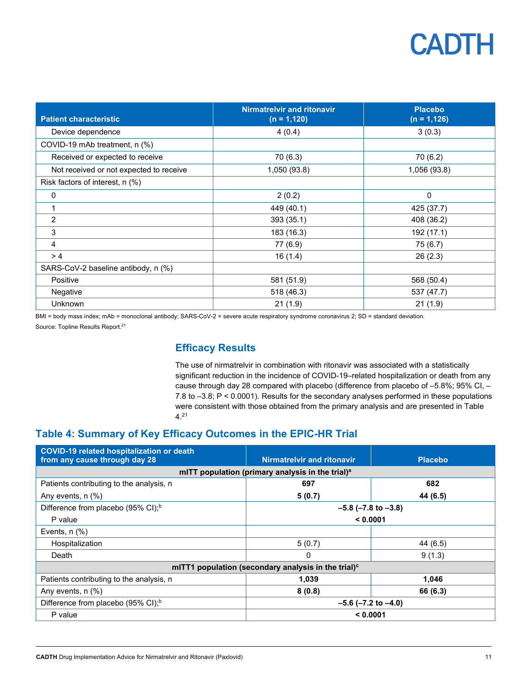| <b>Patient characteristic</b>           | <b>Nirmatrelvir and ritonavir</b><br>$(n = 1, 120)$ | <b>Placebo</b><br>$(n = 1, 126)$ |
|-----------------------------------------|-----------------------------------------------------|----------------------------------|
| Device dependence                       | 4(0.4)                                              | 3(0.3)                           |
| COVID-19 mAb treatment, n (%)           |                                                     |                                  |
| Received or expected to receive         | 70 (6.3)                                            | 70(6.2)                          |
| Not received or not expected to receive | 1,050 (93.8)                                        | 1,056 (93.8)                     |
| Risk factors of interest, n (%)         |                                                     |                                  |
| 0                                       | 2(0.2)                                              | 0                                |
| 1                                       | 449 (40.1)                                          | 425 (37.7)                       |
| 2                                       | 393 (35.1)                                          | 408 (36.2)                       |
| 3                                       | 183 (16.3)                                          | 192 (17.1)                       |
| $\overline{4}$                          | 77 (6.9)                                            | 75(6.7)                          |
| >4                                      | 16(1.4)                                             | 26(2.3)                          |
| SARS-CoV-2 baseline antibody, n (%)     |                                                     |                                  |
| Positive                                | 581 (51.9)                                          | 568 (50.4)                       |
| Negative                                | 518 (46.3)                                          | 537 (47.7)                       |
| Unknown                                 | 21(1.9)                                             | 21(1.9)                          |

BMI = body mass index; mAb = monoclonal antibody; SARS-CoV-2 = severe acute respiratory syndrome coronavirus 2; SD = standard deviation. Source: Topline Results Report. 21

#### **Efficacy Results**

The use of nirmatrelvir in combination with ritonavir was associated with a statistically significant reduction in the incidence of COVID-19–related hospitalization or death from any cause through day 28 compared with placebo (difference from placebo of –5.8%; 95% CI, – 7.8 to –3.8; P < 0.0001). Results for the secondary analyses performed in these populations were consistent with those obtained from the primary analysis and are presented in [Table](#page-10-0)  [4.](#page-10-0) 21

### <span id="page-10-0"></span>**Table 4: Summary of Key Efficacy Outcomes in the EPIC-HR Trial**

| <b>COVID-19 related hospitalization or death</b><br>from any cause through day 28 | <b>Nirmatrelvir and ritonavir</b> | <b>Placebo</b> |  |  |
|-----------------------------------------------------------------------------------|-----------------------------------|----------------|--|--|
| mITT population (primary analysis in the trial) <sup>a</sup>                      |                                   |                |  |  |
| Patients contributing to the analysis, n                                          | 682<br>697                        |                |  |  |
| Any events, $n$ $(\%)$                                                            | 5(0.7)                            | 44 (6.5)       |  |  |
| Difference from placebo (95% CI); <sup>b</sup>                                    | $-5.8$ ( $-7.8$ to $-3.8$ )       |                |  |  |
| P value                                                                           | < 0.0001                          |                |  |  |
| Events, $n$ $%$                                                                   |                                   |                |  |  |
| Hospitalization                                                                   | 5(0.7)                            | 44 (6.5)       |  |  |
| Death                                                                             | $\Omega$                          | 9(1.3)         |  |  |
| mITT1 population (secondary analysis in the trial) $c$                            |                                   |                |  |  |
| Patients contributing to the analysis, n                                          | 1,039                             | 1,046          |  |  |
| Any events, $n$ $(\%)$                                                            | 8(0.8)                            | 66 (6.3)       |  |  |
| Difference from placebo (95% CI); <sup>b</sup>                                    | $-5.6$ ( $-7.2$ to $-4.0$ )       |                |  |  |
| P value                                                                           | < 0.0001                          |                |  |  |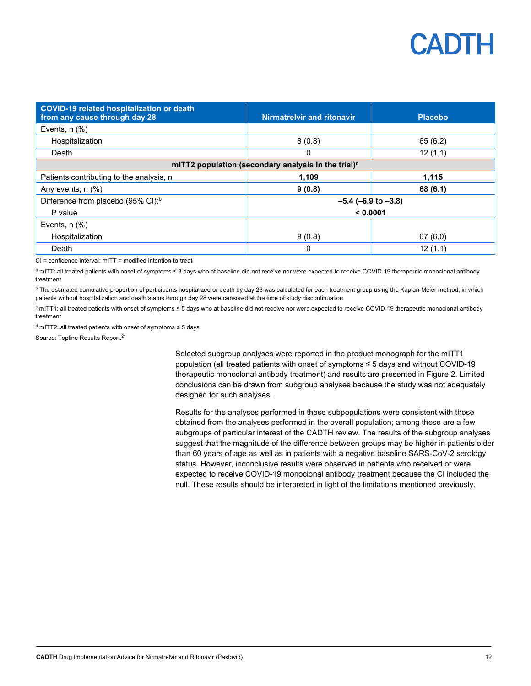| <b>COVID-19 related hospitalization or death</b><br>from any cause through day 28 | <b>Nirmatrelvir and ritonavir</b> | <b>Placebo</b> |  |  |
|-----------------------------------------------------------------------------------|-----------------------------------|----------------|--|--|
| Events, $n$ $%$ )                                                                 |                                   |                |  |  |
| Hospitalization                                                                   | 8(0.8)                            | 65(6.2)        |  |  |
| Death                                                                             | 12(1.1)<br>0                      |                |  |  |
| mITT2 population (secondary analysis in the trial) <sup>d</sup>                   |                                   |                |  |  |
| Patients contributing to the analysis, n                                          | 1.109                             | 1,115          |  |  |
| Any events, $n$ $%$                                                               | 9(0.8)                            | 68 (6.1)       |  |  |
| Difference from placebo (95% CI); <sup>b</sup>                                    | $-5.4$ (-6.9 to $-3.8$ )          |                |  |  |
| P value                                                                           | < 0.0001                          |                |  |  |
| Events, $n$ $(\%)$                                                                |                                   |                |  |  |
| Hospitalization                                                                   | 9(0.8)                            | 67(6.0)        |  |  |
| Death                                                                             | 0                                 | 12(1.1)        |  |  |

CI = confidence interval; mITT = modified intention-to-treat.

a mITT: all treated patients with onset of symptoms ≤ 3 days who at baseline did not receive nor were expected to receive COVID-19 therapeutic monoclonal antibody treatment.

**b** The estimated cumulative proportion of participants hospitalized or death by day 28 was calculated for each treatment group using the Kaplan-Meier method, in which patients without hospitalization and death status through day 28 were censored at the time of study discontinuation.

<sup>c</sup> mITT1: all treated patients with onset of symptoms ≤ 5 days who at baseline did not receive nor were expected to receive COVID-19 therapeutic monoclonal antibody treatment.

<sup>d</sup> mITT2: all treated patients with onset of symptoms ≤ 5 days.

Source: Topline Results Report. 21

Selected subgroup analyses were reported in the product monograph for the mITT1 population (all treated patients with onset of symptoms ≤ 5 days and without COVID-19 therapeutic monoclonal antibody treatment) and results are presented in [Figure 2.](#page-12-0) Limited conclusions can be drawn from subgroup analyses because the study was not adequately designed for such analyses.

Results for the analyses performed in these subpopulations were consistent with those obtained from the analyses performed in the overall population; among these are a few subgroups of particular interest of the CADTH review. The results of the subgroup analyses suggest that the magnitude of the difference between groups may be higher in patients older than 60 years of age as well as in patients with a negative baseline SARS-CoV-2 serology status. However, inconclusive results were observed in patients who received or were expected to receive COVID-19 monoclonal antibody treatment because the CI included the null. These results should be interpreted in light of the limitations mentioned previously.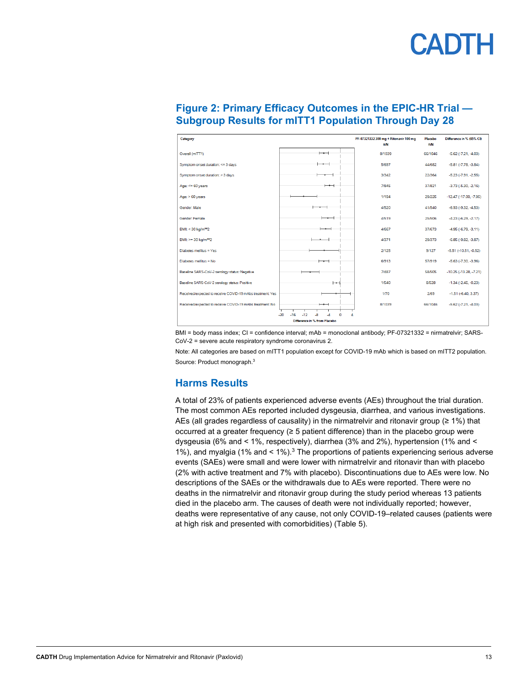| Category                                                  |                          | PF-07321332 300 mg + Ritonavir 100 mg<br>n/N | Placebo<br>n/N | Difference in % (95% CI)     |
|-----------------------------------------------------------|--------------------------|----------------------------------------------|----------------|------------------------------|
| Overall (mITT1)                                           | $\overline{\phantom{0}}$ | 8/1039                                       | 66/1046        | $-5.62(-7.21, -4.03)$        |
| Symptom onset duration: <= 3 days                         |                          | 5/697                                        | 44/682         | $-5.81 (-7.78, -3.84)$       |
| Symptom onset duration: > 3 days                          |                          | 3/342                                        | 22/364         | $-5.23(-7.91,-2.55)$         |
| Age: $<= 60$ years                                        | $-\!$                    | 7/845                                        | 37/821         | $-3.73(-5.30,-2.16)$         |
| Age: $>60$ years                                          |                          | 1/194                                        | 29/225         | $-12.47(-17.00, -7.95)$      |
| Gender: Male                                              |                          | 4/520                                        | 41/540         | $-6.93(-9.32, -4.53)$        |
| Gender: Female                                            | __                       | 4/519                                        | 25/506         | $-4.23(-6.29,-2.17)$         |
| BMI: < 30 kg/m**2                                         | —— <b>——</b>             | 4/667                                        | 37/673         | $-4.95(-6.79,-3.11)$         |
| BMI: >= 30 kg/m**2                                        |                          | 4/371                                        | 29/373         | $-6.85(-9.82, -3.87)$        |
| Diabetes mellitus = Yes                                   |                          | 2/125                                        | 9/127          | $-5.51$ $(-10.51, -0.52)$    |
| Diabetes mellitus = No                                    | $\overline{\phantom{a}}$ | 6/913                                        | 57/919         | $-5.63$ $(-7.30, -3.96)$     |
| Baseline SARS-CoV-2 serology status: Negative             |                          | 7/487                                        | 58/505         | $-10.25(-13.28, -7.21)$      |
| Baseline SARS-CoV-2 serology status: Positive             | ⊢                        | 1/540                                        | 8/528          | $-1.34(-2.45, -0.23)$        |
| Received/expected to receive COVID-19 mAbs treatment: Yes |                          | 1/70                                         | 2/69           | $-1.51$ ( $-6.40$ , $3.37$ ) |
| Received/expected to receive COVID-19 mAbs treatment: No  | $\overline{\phantom{0}}$ | 8/1039                                       | 66/1046        | $-5.62$ $(-7.21, -4.03)$     |
| $-16$<br>$-20$<br>$-12$<br>-8<br>n<br>-4                  |                          |                                              |                |                              |
| Difference in % from Placebo                              |                          |                                              |                |                              |

#### <span id="page-12-0"></span>**Figure 2: Primary Efficacy Outcomes in the EPIC-HR Trial — Subgroup Results for mITT1 Population Through Day 28**

BMI = body mass index; CI = confidence interval; mAb = monoclonal antibody; PF-07321332 = nirmatrelvir; SARS-CoV-2 = severe acute respiratory syndrome coronavirus 2.

Note: All categories are based on mITT1 population except for COVID-19 mAb which is based on mITT2 population. Source: Product monograph. 3

### **Harms Results**

A total of 23% of patients experienced adverse events (AEs) throughout the trial duration. The most common AEs reported included dysgeusia, diarrhea, and various investigations. AEs (all grades regardless of causality) in the nirmatrelvir and ritonavir group ( $\geq 1\%$ ) that occurred at a greater frequency (≥ 5 patient difference) than in the placebo group were dysgeusia (6% and < 1%, respectively), diarrhea (3% and 2%), hypertension (1% and < 1%), and myalgia (1% and < 1%).3 The proportions of patients experiencing serious adverse events (SAEs) were small and were lower with nirmatrelvir and ritonavir than with placebo (2% with active treatment and 7% with placebo). Discontinuations due to AEs were low. No descriptions of the SAEs or the withdrawals due to AEs were reported. There were no deaths in the nirmatrelvir and ritonavir group during the study period whereas 13 patients died in the placebo arm. The causes of death were not individually reported; however, deaths were representative of any cause, not only COVID-19–related causes (patients were at high risk and presented with comorbidities) [\(Table 5\)](#page-13-0).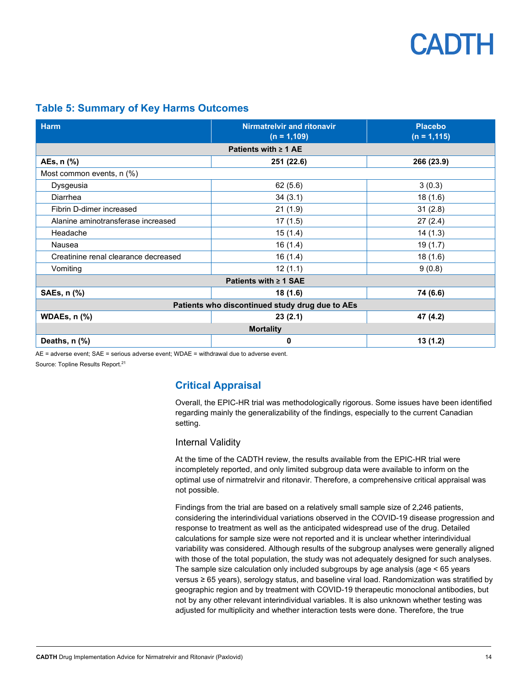#### <span id="page-13-0"></span>**Table 5: Summary of Key Harms Outcomes**

| <b>Harm</b>                                     | <b>Nirmatrelvir and ritonavir</b><br>$(n = 1, 109)$ | <b>Placebo</b><br>$(n = 1, 115)$ |  |  |
|-------------------------------------------------|-----------------------------------------------------|----------------------------------|--|--|
| Patients with $\geq 1$ AE                       |                                                     |                                  |  |  |
| AEs, n (%)                                      | 251 (22.6)                                          | 266 (23.9)                       |  |  |
| Most common events, n (%)                       |                                                     |                                  |  |  |
| Dysgeusia                                       | 62(5.6)                                             | 3(0.3)                           |  |  |
| Diarrhea                                        | 34(3.1)                                             | 18(1.6)                          |  |  |
| Fibrin D-dimer increased                        | 21(1.9)                                             | 31(2.8)                          |  |  |
| Alanine aminotransferase increased              | 17(1.5)                                             | 27(2.4)                          |  |  |
| Headache                                        | 15(1.4)                                             | 14(1.3)                          |  |  |
| Nausea                                          | 16(1.4)                                             | 19(1.7)                          |  |  |
| Creatinine renal clearance decreased            | 16(1.4)                                             | 18 (1.6)                         |  |  |
| Vomiting                                        | 12(1.1)                                             | 9(0.8)                           |  |  |
| Patients with $\geq 1$ SAE                      |                                                     |                                  |  |  |
| SAEs, n (%)                                     | 18 (1.6)                                            | 74 (6.6)                         |  |  |
| Patients who discontinued study drug due to AEs |                                                     |                                  |  |  |
| <b>WDAEs, n (%)</b>                             | 23(2.1)                                             | 47 (4.2)                         |  |  |
| <b>Mortality</b>                                |                                                     |                                  |  |  |
| Deaths, n (%)                                   | 0                                                   | 13(1.2)                          |  |  |

AE = adverse event; SAE = serious adverse event; WDAE = withdrawal due to adverse event.

Source: Topline Results Report. 21

### **Critical Appraisal**

Overall, the EPIC-HR trial was methodologically rigorous. Some issues have been identified regarding mainly the generalizability of the findings, especially to the current Canadian setting.

#### Internal Validity

At the time of the CADTH review, the results available from the EPIC-HR trial were incompletely reported, and only limited subgroup data were available to inform on the optimal use of nirmatrelvir and ritonavir. Therefore, a comprehensive critical appraisal was not possible.

Findings from the trial are based on a relatively small sample size of 2,246 patients, considering the interindividual variations observed in the COVID-19 disease progression and response to treatment as well as the anticipated widespread use of the drug. Detailed calculations for sample size were not reported and it is unclear whether interindividual variability was considered. Although results of the subgroup analyses were generally aligned with those of the total population, the study was not adequately designed for such analyses. The sample size calculation only included subgroups by age analysis (age < 65 years versus ≥ 65 years), serology status, and baseline viral load. Randomization was stratified by geographic region and by treatment with COVID-19 therapeutic monoclonal antibodies, but not by any other relevant interindividual variables. It is also unknown whether testing was adjusted for multiplicity and whether interaction tests were done. Therefore, the true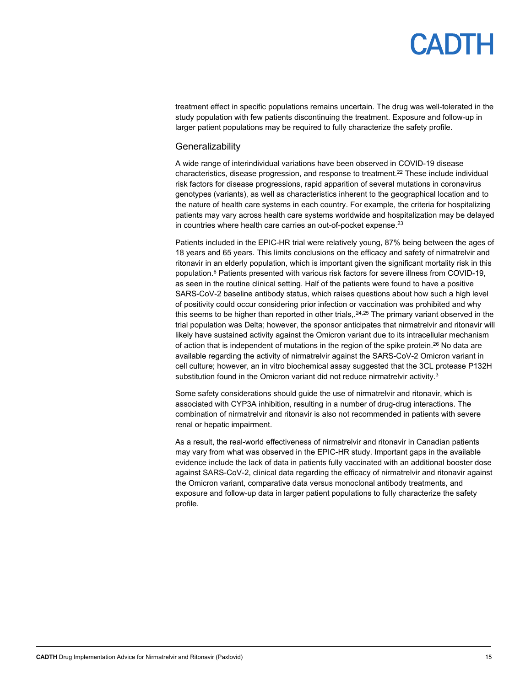# PADTH

treatment effect in specific populations remains uncertain. The drug was well-tolerated in the study population with few patients discontinuing the treatment. Exposure and follow-up in larger patient populations may be required to fully characterize the safety profile.

#### **Generalizability**

A wide range of interindividual variations have been observed in COVID-19 disease characteristics, disease progression, and response to treatment.22 These include individual risk factors for disease progressions, rapid apparition of several mutations in coronavirus genotypes (variants), as well as characteristics inherent to the geographical location and to the nature of health care systems in each country. For example, the criteria for hospitalizing patients may vary across health care systems worldwide and hospitalization may be delayed in countries where health care carries an out-of-pocket expense.<sup>23</sup>

Patients included in the EPIC-HR trial were relatively young, 87% being between the ages of 18 years and 65 years. This limits conclusions on the efficacy and safety of nirmatrelvir and ritonavir in an elderly population, which is important given the significant mortality risk in this population. <sup>6</sup> Patients presented with various risk factors for severe illness from COVID-19, as seen in the routine clinical setting. Half of the patients were found to have a positive SARS-CoV-2 baseline antibody status, which raises questions about how such a high level of positivity could occur considering prior infection or vaccination was prohibited and why this seems to be higher than reported in other trials,. 24,25 The primary variant observed in the trial population was Delta; however, the sponsor anticipates that nirmatrelvir and ritonavir will likely have sustained activity against the Omicron variant due to its intracellular mechanism of action that is independent of mutations in the region of the spike protein.<sup>26</sup> No data are available regarding the activity of nirmatrelvir against the SARS-CoV-2 Omicron variant in cell culture; however, an in vitro biochemical assay suggested that the 3CL protease P132H substitution found in the Omicron variant did not reduce nirmatrelvir activity.<sup>3</sup>

Some safety considerations should guide the use of nirmatrelvir and ritonavir, which is associated with CYP3A inhibition, resulting in a number of drug-drug interactions. The combination of nirmatrelvir and ritonavir is also not recommended in patients with severe renal or hepatic impairment.

As a result, the real-world effectiveness of nirmatrelvir and ritonavir in Canadian patients may vary from what was observed in the EPIC-HR study. Important gaps in the available evidence include the lack of data in patients fully vaccinated with an additional booster dose against SARS-CoV-2, clinical data regarding the efficacy of nirmatrelvir and ritonavir against the Omicron variant, comparative data versus monoclonal antibody treatments, and exposure and follow-up data in larger patient populations to fully characterize the safety profile.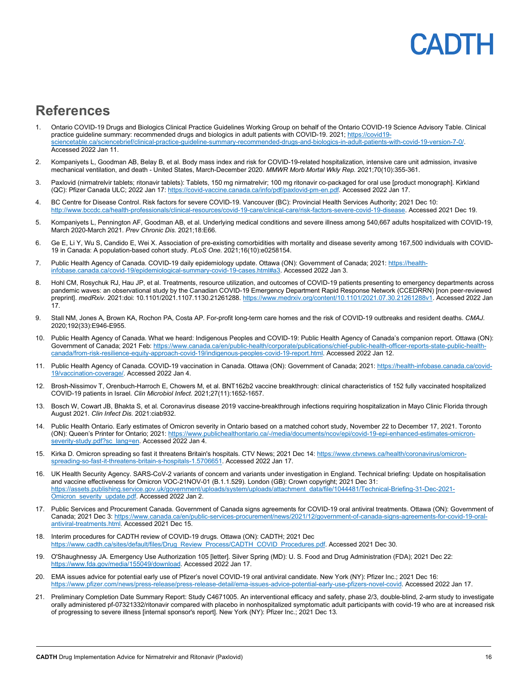## **PADTH**

### **References**

- 1. Ontario COVID-19 Drugs and Biologics Clinical Practice Guidelines Working Group on behalf of the Ontario COVID-19 Science Advisory Table. Clinical practice guideline summary: recommended drugs and biologics in adult patients with COVID-19. 2021; [https://covid19](https://covid19-sciencetable.ca/sciencebrief/clinical-practice-guideline-summary-recommended-drugs-and-biologics-in-adult-patients-with-covid-19-version-7-0/) [sciencetable.ca/sciencebrief/clinical-practice-guideline-summary-recommended-drugs-and-biologics-in-adult-patients-with-covid-19-version-7-0/.](https://covid19-sciencetable.ca/sciencebrief/clinical-practice-guideline-summary-recommended-drugs-and-biologics-in-adult-patients-with-covid-19-version-7-0/) Accessed 2022 Jan 11.
- 2. Kompaniyets L, Goodman AB, Belay B, et al. Body mass index and risk for COVID-19-related hospitalization, intensive care unit admission, invasive mechanical ventilation, and death - United States, March-December 2020. *MMWR Morb Mortal Wkly Rep.* 2021;70(10):355-361.
- 3. Paxlovid (nirmatrelvir tablets; ritonavir tablets): Tablets, 150 mg nirmatrelvir; 100 mg ritonavir co-packaged for oral use [product monograph]. Kirkland (QC): Pfizer Canada ULC; 2022 Jan 17[: https://covid-vaccine.canada.ca/info/pdf/paxlovid-pm-en.pdf.](https://covid-vaccine.canada.ca/info/pdf/paxlovid-pm-en.pdf) Accessed 2022 Jan 17.
- 4. BC Centre for Disease Control. Risk factors for severe COVID-19. Vancouver (BC): Provincial Health Services Authority; 2021 Dec 10: [http://www.bccdc.ca/health-professionals/clinical-resources/covid-19-care/clinical-care/risk-factors-severe-covid-19-disease.](http://www.bccdc.ca/health-professionals/clinical-resources/covid-19-care/clinical-care/risk-factors-severe-covid-19-disease) Accessed 2021 Dec 19.
- 5. Kompaniyets L, Pennington AF, Goodman AB, et al. Underlying medical conditions and severe illness among 540,667 adults hospitalized with COVID-19, March 2020-March 2021. *Prev Chronic Dis.* 2021;18:E66.
- 6. Ge E, Li Y, Wu S, Candido E, Wei X. Association of pre-existing comorbidities with mortality and disease severity among 167,500 individuals with COVID-19 in Canada: A population-based cohort study. *PLoS One.* 2021;16(10):e0258154.
- 7. Public Health Agency of Canada. COVID-19 daily epidemiology update. Ottawa (ON): Government of Canada; 2021: [https://health](https://health-infobase.canada.ca/covid-19/epidemiological-summary-covid-19-cases.html#a3)[infobase.canada.ca/covid-19/epidemiological-summary-covid-19-cases.html#a3.](https://health-infobase.canada.ca/covid-19/epidemiological-summary-covid-19-cases.html#a3) Accessed 2022 Jan 3.
- 8. Hohl CM, Rosychuk RJ, Hau JP, et al. Treatments, resource utilization, and outcomes of COVID-19 patients presenting to emergency departments across pandemic waves: an observational study by the Canadian COVID-19 Emergency Department Rapid Response Network (CCEDRRN) [non peer-reviewed preprint]. *medRxiv.* 2021:doi: 10.1101/2021.1107.1130.21261288[. https://www.medrxiv.org/content/10.1101/2021.07.30.21261288v1.](https://www.medrxiv.org/content/10.1101/2021.07.30.21261288v1) Accessed 2022 Jan 17.
- 9. Stall NM, Jones A, Brown KA, Rochon PA, Costa AP. For-profit long-term care homes and the risk of COVID-19 outbreaks and resident deaths. *CMAJ.*  2020;192(33):E946-E955.
- 10. Public Health Agency of Canada. What we heard: Indigenous Peoples and COVID-19: Public Health Agency of Canada's companion report. Ottawa (ON): Government of Canada; 2021 Feb[: https://www.canada.ca/en/public-health/corporate/publications/chief-public-health-officer-reports-state-public-health](https://www.canada.ca/en/public-health/corporate/publications/chief-public-health-officer-reports-state-public-health-canada/from-risk-resilience-equity-approach-covid-19/indigenous-peoples-covid-19-report.html)[canada/from-risk-resilience-equity-approach-covid-19/indigenous-peoples-covid-19-report.html.](https://www.canada.ca/en/public-health/corporate/publications/chief-public-health-officer-reports-state-public-health-canada/from-risk-resilience-equity-approach-covid-19/indigenous-peoples-covid-19-report.html) Accessed 2022 Jan 12.
- 11. Public Health Agency of Canada. COVID-19 vaccination in Canada. Ottawa (ON): Government of Canada; 2021[: https://health-infobase.canada.ca/covid-](https://health-infobase.canada.ca/covid-19/vaccination-coverage/)[19/vaccination-coverage/.](https://health-infobase.canada.ca/covid-19/vaccination-coverage/) Accessed 2022 Jan 4.
- 12. Brosh-Nissimov T, Orenbuch-Harroch E, Chowers M, et al. BNT162b2 vaccine breakthrough: clinical characteristics of 152 fully vaccinated hospitalized COVID-19 patients in Israel. *Clin Microbiol Infect.* 2021;27(11):1652-1657.
- 13. Bosch W, Cowart JB, Bhakta S, et al. Coronavirus disease 2019 vaccine-breakthrough infections requiring hospitalization in Mayo Clinic Florida through August 2021. *Clin Infect Dis.* 2021:ciab932.
- 14. Public Health Ontario. Early estimates of Omicron severity in Ontario based on a matched cohort study, November 22 to December 17, 2021. Toronto (ON): Queen's Printer for Ontario; 2021[: https://www.publichealthontario.ca/-/media/documents/ncov/epi/covid-19-epi-enhanced-estimates-omicron](https://www.publichealthontario.ca/-/media/documents/ncov/epi/covid-19-epi-enhanced-estimates-omicron-severity-study.pdf?sc_lang=en)[severity-study.pdf?sc\\_lang=en.](https://www.publichealthontario.ca/-/media/documents/ncov/epi/covid-19-epi-enhanced-estimates-omicron-severity-study.pdf?sc_lang=en) Accessed 2022 Jan 4.
- 15. Kirka D. Omicron spreading so fast it threatens Britain's hospitals. CTV News; 2021 Dec 14[: https://www.ctvnews.ca/health/coronavirus/omicron](https://www.ctvnews.ca/health/coronavirus/omicron-spreading-so-fast-it-threatens-britain-s-hospitals-1.5706651)[spreading-so-fast-it-threatens-britain-s-hospitals-1.5706651.](https://www.ctvnews.ca/health/coronavirus/omicron-spreading-so-fast-it-threatens-britain-s-hospitals-1.5706651) Accessed 2022 Jan 17.
- 16. UK Health Security Agency. SARS-CoV-2 variants of concern and variants under investigation in England. Technical briefing: Update on hospitalisation and vaccine effectiveness for Omicron VOC-21NOV-01 (B.1.1.529). London (GB): Crown copyright; 2021 Dec 31: [https://assets.publishing.service.gov.uk/government/uploads/system/uploads/attachment\\_data/file/1044481/Technical-Briefing-31-Dec-2021-](https://assets.publishing.service.gov.uk/government/uploads/system/uploads/attachment_data/file/1044481/Technical-Briefing-31-Dec-2021-Omicron_severity_update.pdf) [Omicron\\_severity\\_update.pdf.](https://assets.publishing.service.gov.uk/government/uploads/system/uploads/attachment_data/file/1044481/Technical-Briefing-31-Dec-2021-Omicron_severity_update.pdf) Accessed 2022 Jan 2.
- 17. Public Services and Procurement Canada. Government of Canada signs agreements for COVID-19 oral antiviral treatments. Ottawa (ON): Government of Canada; 2021 Dec 3[: https://www.canada.ca/en/public-services-procurement/news/2021/12/government-of-canada-signs-agreements-for-covid-19-oral](https://www.canada.ca/en/public-services-procurement/news/2021/12/government-of-canada-signs-agreements-for-covid-19-oral-antiviral-treatments.html)[antiviral-treatments.html.](https://www.canada.ca/en/public-services-procurement/news/2021/12/government-of-canada-signs-agreements-for-covid-19-oral-antiviral-treatments.html) Accessed 2021 Dec 15.
- 18. Interim procedures for CADTH review of COVID-19 drugs. Ottawa (ON): CADTH; 2021 Dec [https://www.cadth.ca/sites/default/files/Drug\\_Review\\_Process/CADTH\\_COVID\\_Procedures.pdf.](https://www.cadth.ca/sites/default/files/Drug_Review_Process/CADTH_COVID_Procedures.pdf) Accessed 2021 Dec 30.
- 19. O'Shaughnessy JA. Emergency Use Authorization 105 [letter]. Silver Spring (MD): U. S. Food and Drug Administration (FDA); 2021 Dec 22: [https://www.fda.gov/media/155049/download.](https://www.fda.gov/media/155049/download) Accessed 2022 Jan 17.
- 20. EMA issues advice for potential early use of Pfizer's novel COVID-19 oral antiviral candidate. New York (NY): Pfizer Inc.; 2021 Dec 16: [https://www.pfizer.com/news/press-release/press-release-detail/ema-issues-advice-potential-early-use-pfizers-novel-covid.](https://www.pfizer.com/news/press-release/press-release-detail/ema-issues-advice-potential-early-use-pfizers-novel-covid) Accessed 2022 Jan 17.
- 21. Preliminary Completion Date Summary Report: Study C4671005. An interventional efficacy and safety, phase 2/3, double-blind, 2-arm study to investigate orally administered pf-07321332/ritonavir compared with placebo in nonhospitalized symptomatic adult participants with covid-19 who are at increased risk of progressing to severe illness [internal sponsor's report]. New York (NY): Pfizer Inc.; 2021 Dec 13.